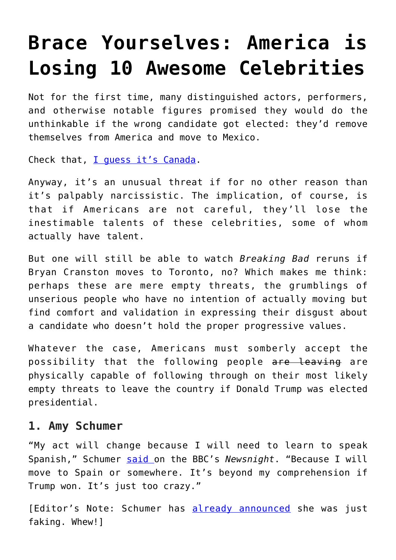# **[Brace Yourselves: America is](https://intellectualtakeout.org/2016/11/brace-yourselves-america-is-losing-10-awesome-celebrities/) [Losing 10 Awesome Celebrities](https://intellectualtakeout.org/2016/11/brace-yourselves-america-is-losing-10-awesome-celebrities/)**

Not for the first time, many distinguished actors, performers, and otherwise notable figures promised they would do the unthinkable if the wrong candidate got elected: they'd remove themselves from America and move to Mexico.

Check that, [I guess it's Canada](https://www.intellectualtakeout.org/blog/why-it-always-canada).

Anyway, it's an unusual threat if for no other reason than it's palpably narcissistic. The implication, of course, is that if Americans are not careful, they'll lose the inestimable talents of these celebrities, some of whom actually have talent.

But one will still be able to watch *Breaking Bad* reruns if Bryan Cranston moves to Toronto, no? Which makes me think: perhaps these are mere empty threats, the grumblings of unserious people who have no intention of actually moving but find comfort and validation in expressing their disgust about a candidate who doesn't hold the proper progressive values.

Whatever the case, Americans must somberly accept the possibility that the following people are leaving are physically capable of following through on their most likely empty threats to leave the country if Donald Trump was elected presidential.

#### **1. Amy Schumer**

"My act will change because I will need to learn to speak Spanish," Schumer [said o](http://www.breitbart.com/video/2016/09/06/amy-schumer-ill-move-spain-trump-wins/)n the BBC's *Newsnight*. "Because I will move to Spain or somewhere. It's beyond my comprehension if Trump won. It's just too crazy."

[Editor's Note: Schumer has [already announced](http://Not for the first time, many distinguished actors, performers, and otherwise notable figures promised they would do the unthinkable if the wrong candidate got elected: they’d remove themselves from America and move to Mexico. Check that, I guess it’s Canada. Anyway, it’s an unusual threat if for no other reason than it’s palpably narcissistic.The implication, of course, is that if Americans are not careful, they’ll lose inestimable talents of these celebrities, some of whom actually have talent. But one will still be able to watch Breaking Bad reruns if Bryan Cranston moves to Toronto, no? Which makes me think: perhaps these are mere empty threats, the grumblings of unserious people who have no intention of actually moving but find comfort and validation in expressing their disgust about a candidate who doesn’t hold the proper progressive values. Whatever the case, Americans must somberly accept the possibility that the following people are leaving are physically capable of following through on their most likely empty threat to leave the country if Donald Trump was elected presidential. Amy Schumer “My act will change because I will need to learn to speak Spanish,” Schumer said on the BBC’s Newsnight. “Because I will move to Spain or somewhere. It’s beyond my comprehension if Trump won. It’s just too crazy.” [Editor’s Note: Schumer has already announced she was just faking. Ha! Good one, Amy; you had us all going!] Lena Dunham The actress said there is a “100 percent chance” she’d move to Canada if Trump is victorious on Election Day. Barbara Streisand “I can’t believe it. I’m either coming to your country if you’ll let me in, or Canada,” the actor and singer told 60 Minutes in a recent interview. Bryan Cranston “I would definitely move. It’s not real to me that that would happen. I hope to God it won’t,” Cranston said Miley Cyrus The Wrecking Ball singer said she’d “move out da country” if Trump, whom she called a “f*cking nightmare” wins. Jon Stewart The former Daily Show host told People magazine last year that if The Donald won he’d consider “getting in a rocket and going to another planet, because clearly this planet’s gone bonkers.” Cher Cher tweeted that she would be moving to Jupiter if Trump wins. Chelsea Handler Handler suggested that unlike other celebrities, her threat to leave the USA if Trump got elected is no idle threat: “I did buy a house in another country just in case,” Handler said in an ABC interview shortly after Trump locked up the GOP nomination “So all these people that threaten to leave the country and then don’t — I actually will leave that country.” [Editor’s Note: But it looks like it was totally and idle threat.] Samuel L. Jackson The guy that took on Darth Vader and survived Pulp Fiction apparently could not handle the prospect of a Trump victory. “If that motherf*cker becomes president, I’m moving my black ass to South Africa,” he told Jimmy Kimmel. Whoopi Goldberg Goldberg, too, implied she might pick up stakes and give up on the old US of A if Trump managed to find his way inside the Oval Office. “Maybe it’s time for me to move, you know. I can afford to go,” said on The View in January, while speculating on the possibility of a Trump presidency. Honorable Mentions Neve Campbell, Barry Diller, Keegan-Michael Key, George Lopez, and Rev. Al Sharpton also said they would move if Trump got elected. We couldn’t agree if they counted as celebrities or not. (I argued with great passion that George Lopez of Ski Patrol fame should have been on the primary list, but I was out voted. Rigged.)) she was just faking. Whew!]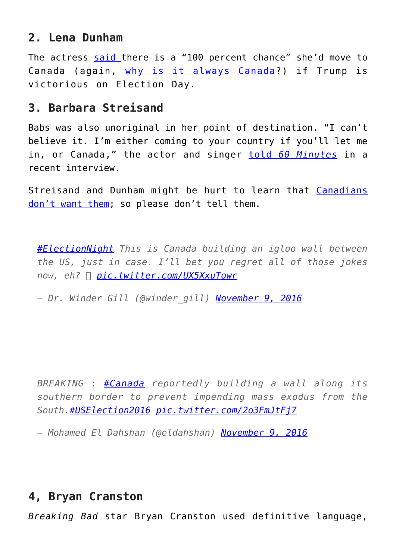## **2. Lena Dunham**

The actress [said](http://www.breitbart.com/big-hollywood/2016/04/25/lena-dunham-100-percent-chance-im-moving-to-canada-if-trump-wins/) there is a "100 percent chance" she'd move to Canada (again, [why is it always Canada?](https://www.intellectualtakeout.org/blog/why-it-always-canada)) if Trump is victorious on Election Day.

### **3. Barbara Streisand**

Babs was also unoriginal in her point of destination. "I can't believe it. I'm either coming to your country if you'll let me in, or Canada," the actor and singer [told](http://www.breitbart.com/big-hollywood/2016/08/28/barbra-streisand-vows-move-australia-trump-wins/) *[60 Minutes](http://www.breitbart.com/big-hollywood/2016/08/28/barbra-streisand-vows-move-australia-trump-wins/)* in a recent interview.

Streisand and Dunham might be hurt to learn that [Canadians](http://heatst.com/politics/canadians-dont-want-america-fleeing-american-liberals-especially-lena-dunham/) [don't want them](http://heatst.com/politics/canadians-dont-want-america-fleeing-american-liberals-especially-lena-dunham/); so please don't tell them.

*[#ElectionNight](https://twitter.com/hashtag/ElectionNight?src=hash) This is Canada building an igloo wall between the US, just in case. I'll bet you regret all of those jokes now, eh?  [pic.twitter.com/UX5XxuTowr](https://twitter.com/winder_gill/status/796185945959727104/photo/1)*

*— Dr. Winder Gill (@winder\_gill) [November 9, 2016](https://twitter.com/winder_gill/status/796185945959727104)*

*BREAKING : [#Canada](https://twitter.com/hashtag/Canada?src=hash) reportedly building a wall along its southern border to prevent impending mass exodus from the South.[#USElection2016](https://twitter.com/hashtag/USElection2016?src=hash) [pic.twitter.com/2o3FmJtFj7](https://twitter.com/eldahshan/status/796183854801416192/photo/1)*

*— Mohamed El Dahshan (@eldahshan) [November 9, 2016](https://twitter.com/eldahshan/status/796183854801416192)*

## **4, Bryan Cranston**

*Breaking Bad* star Bryan Cranston used definitive language,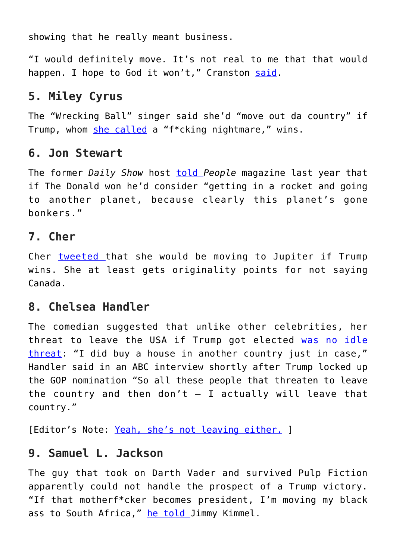showing that he really meant business.

"I would definitely move. It's not real to me that that would happen. I hope to God it won't," Cranston [said](http://www.breitbart.com/big-hollywood/2016/10/31/bryan-cranston-will-move-canada-donald-trump-wins-election/).

## **5. Miley Cyrus**

The "Wrecking Ball" singer said she'd "move out da country" if Trump, whom [she called](http://www.breitbart.com/big-hollywood/2016/03/03/miley-cyrus-vows-to-leave-u-s-if-f-king-nightmare-donald-trump-electede/) a "f\*cking nightmare," wins.

#### **6. Jon Stewart**

The former *Daily Show* host **told** People magazine last year that if The Donald won he'd consider "getting in a rocket and going to another planet, because clearly this planet's gone bonkers."

## **7. Cher**

Cher [tweeted t](https://twitter.com/cher/status/610956742545911809)hat she would be moving to Jupiter if Trump wins. She at least gets originality points for not saying Canada.

#### **8. Chelsea Handler**

The comedian suggested that unlike other celebrities, her threat to leave the USA if Trump got elected [was no idle](http://thehill.com/blogs/in-the-know/in-the-know/279809-handler-i-bought-a-house-in-another-country-in-case-trump-is) [threat:](http://thehill.com/blogs/in-the-know/in-the-know/279809-handler-i-bought-a-house-in-another-country-in-case-trump-is) "I did buy a house in another country just in case," Handler said in an ABC interview shortly after Trump locked up the GOP nomination "So all these people that threaten to leave the country and then don't  $-$  I actually will leave that country."

[Editor's Note: [Yeah, she's not leaving either.](http://www.etonline.com/news/202471_chelsea_handler_tears_up_talking_about_hillary_clinton_s_election_loss_with_senator_barbara_boxer/) ]

#### **9. Samuel L. Jackson**

The guy that took on Darth Vader and survived Pulp Fiction apparently could not handle the prospect of a Trump victory. "If that motherf\*cker becomes president, I'm moving my black ass to South Africa," [he told](https://www.youtube.com/watch?v=QnTb5JDozMs) Jimmy Kimmel.